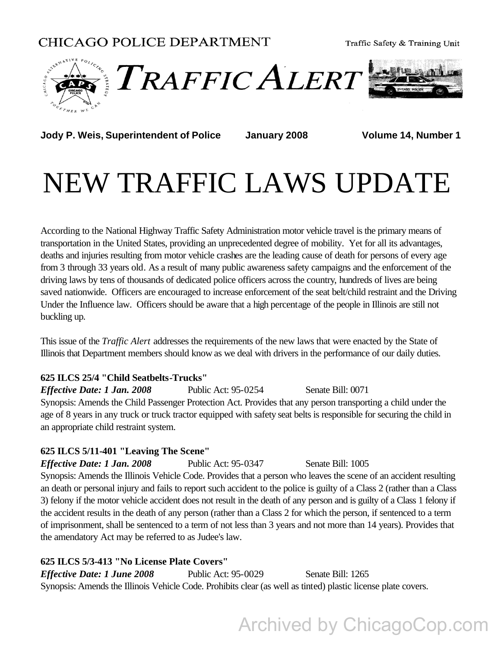Traffic Safety & Training Unit



 **Jody P. Weis, Superintendent of Police January 2008 Volume 14, Number 1**

# NEW TRAFFIC LAWS UPDATE

According to the National Highway Traffic Safety Administration motor vehicle travel is the primary means of transportation in the United States, providing an unprecedented degree of mobility. Yet for all its advantages, deaths and injuries resulting from motor vehicle crashes are the leading cause of death for persons of every age from 3 through 33 years old. As a result of many public awareness safety campaigns and the enforcement of the driving laws by tens of thousands of dedicated police officers across the country, hundreds of lives are being saved nationwide. Officers are encouraged to increase enforcement of the seat belt/child restraint and the Driving Under the Influence law. Officers should be aware that a high percentage of the people in Illinois are still not buckling up.

This issue of the *Traffic Alert* addresses the requirements of the new laws that were enacted by the State of Illinois that Department members should know as we deal with drivers in the performance of our daily duties.

#### **625 ILCS 25/4 "Child Seatbelts-Trucks"**

*Effective Date: 1 Jan. 2008* Public Act: 95-0254 Senate Bill: 0071 Synopsis: Amends the Child Passenger Protection Act. Provides that any person transporting a child under the age of 8 years in any truck or truck tractor equipped with safety seat belts is responsible for securing the child in an appropriate child restraint system.

#### **625 ILCS 5/11-401 "Leaving The Scene"**

*Effective Date: 1 Jan. 2008* Public Act: 95-0347 Senate Bill: 1005 Synopsis: Amends the Illinois Vehicle Code. Provides that a person who leaves the scene of an accident resulting an death or personal injury and fails to report such accident to the police is guilty of a Class 2 (rather than a Class 3) felony if the motor vehicle accident does not result in the death of any person and is guilty of a Class 1 felony if the accident results in the death of any person (rather than a Class 2 for which the person, if sentenced to a term of imprisonment, shall be sentenced to a term of not less than 3 years and not more than 14 years). Provides that the amendatory Act may be referred to as Judee's law.

#### **625 ILCS 5/3-413 "No License Plate Covers"**

*Effective Date: 1 June 2008* Public Act: 95-0029 Senate Bill: 1265 Synopsis: Amends the Illinois Vehicle Code. Prohibits clear (as well as tinted) plastic license plate covers.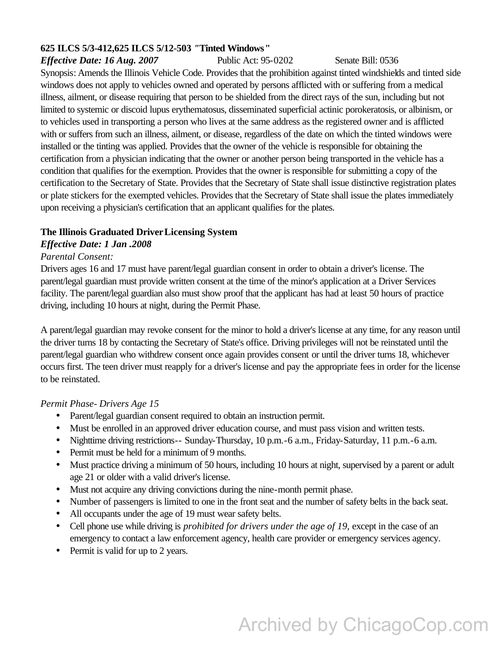#### **625 ILCS 5/3-412,625 ILCS 5/12-503** *"***Tinted Windows"**

#### *Effective Date: 16 Aug. 2007* Public Act: 95-0202 Senate Bill: 0536

Synopsis: Amends the Illinois Vehicle Code. Provides that the prohibition against tinted windshields and tinted side windows does not apply to vehicles owned and operated by persons afflicted with or suffering from a medical illness, ailment, or disease requiring that person to be shielded from the direct rays of the sun, including but not limited to systemic or discoid lupus erythematosus, disseminated superficial actinic porokeratosis, or albinism, or to vehicles used in transporting a person who lives at the same address as the registered owner and is afflicted with or suffers from such an illness, ailment, or disease, regardless of the date on which the tinted windows were installed or the tinting was applied. Provides that the owner of the vehicle is responsible for obtaining the certification from a physician indicating that the owner or another person being transported in the vehicle has a condition that qualifies for the exemption. Provides that the owner is responsible for submitting a copy of the certification to the Secretary of State. Provides that the Secretary of State shall issue distinctive registration plates or plate stickers for the exempted vehicles. Provides that the Secretary of State shall issue the plates immediately upon receiving a physician's certification that an applicant qualifies for the plates.

#### **The Illinois Graduated Driver Licensing System**

#### *Effective Date: 1 Jan .2008*

#### *Parental Consent:*

Drivers ages 16 and 17 must have parent/legal guardian consent in order to obtain a driver's license. The parent/legal guardian must provide written consent at the time of the minor's application at a Driver Services facility. The parent/legal guardian also must show proof that the applicant has had at least 50 hours of practice driving, including 10 hours at night, during the Permit Phase.

A parent/legal guardian may revoke consent for the minor to hold a driver's license at any time, for any reason until the driver turns 18 by contacting the Secretary of State's office. Driving privileges will not be reinstated until the parent/legal guardian who withdrew consent once again provides consent or until the driver turns 18, whichever occurs first. The teen driver must reapply for a driver's license and pay the appropriate fees in order for the license to be reinstated.

#### *Permit Phase- Drivers Age 15*

- Parent/legal guardian consent required to obtain an instruction permit.
- Must be enrolled in an approved driver education course, and must pass vision and written tests.
- Nighttime driving restrictions-- Sunday-Thursday, 10 p.m.-6 a.m., Friday-Saturday, 11 p.m.-6 a.m.
- Permit must be held for a minimum of 9 months.
- Must practice driving a minimum of 50 hours, including 10 hours at night, supervised by a parent or adult age 21 or older with a valid driver's license.
- Must not acquire any driving convictions during the nine-month permit phase.
- Number of passengers is limited to one in the front seat and the number of safety belts in the back seat.
- All occupants under the age of 19 must wear safety belts.
- Cell phone use while driving is *prohibited for drivers under the age of 19,* except in the case of an emergency to contact a law enforcement agency, health care provider or emergency services agency.
- Permit is valid for up to 2 years.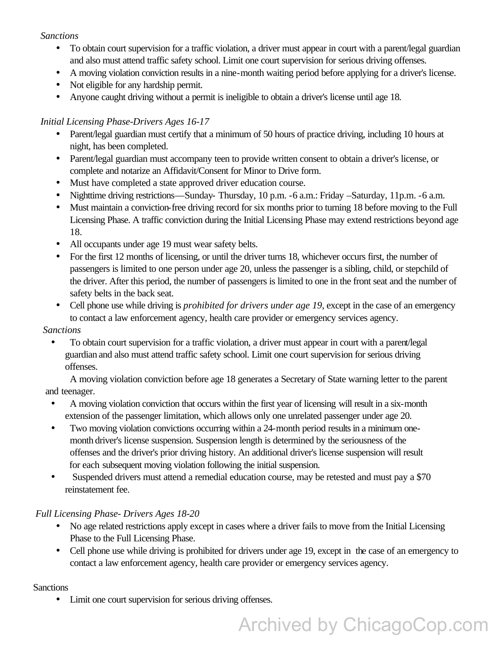#### *Sanctions*

- To obtain court supervision for a traffic violation, a driver must appear in court with a parent/legal guardian and also must attend traffic safety school. Limit one court supervision for serious driving offenses.
- A moving violation conviction results in a nine-month waiting period before applying for a driver's license.
- Not eligible for any hardship permit.
- Anyone caught driving without a permit is ineligible to obtain a driver's license until age 18.

#### *Initial Licensing Phase-Drivers Ages 16-17*

- Parent/legal guardian must certify that a minimum of 50 hours of practice driving, including 10 hours at night, has been completed.
- Parent/legal guardian must accompany teen to provide written consent to obtain a driver's license, or complete and notarize an Affidavit/Consent for Minor to Drive form.
- Must have completed a state approved driver education course.
- Nighttime driving restrictions—Sunday-Thursday, 10 p.m. -6 a.m.: Friday –Saturday, 11 p.m. -6 a.m.
- Must maintain a conviction-free driving record for six months prior to turning 18 before moving to the Full Licensing Phase. A traffic conviction during the Initial Licensing Phase may extend restrictions beyond age 18.
- All occupants under age 19 must wear safety belts.
- For the first 12 months of licensing, or until the driver turns 18, whichever occurs first, the number of passengers is limited to one person under age 20, unless the passenger is a sibling, child, or stepchild of the driver. After this period, the number of passengers is limited to one in the front seat and the number of safety belts in the back seat.
- Cell phone use while driving is *prohibited for drivers under age 19*, except in the case of an emergency to contact a law enforcement agency, health care provider or emergency services agency.

#### *Sanctions*

• To obtain court supervision for a traffic violation, a driver must appear in court with a parent/legal guardian and also must attend traffic safety school. Limit one court supervision for serious driving offenses.

 A moving violation conviction before age 18 generates a Secretary of State warning letter to the parent and teenager.

- A moving violation conviction that occurs within the first year of licensing will result in a six-month extension of the passenger limitation, which allows only one unrelated passenger under age 20.
- Two moving violation convictions occurring within a 24-month period results in a minimum one month driver's license suspension. Suspension length is determined by the seriousness of the offenses and the driver's prior driving history. An additional driver's license suspension will result for each subsequent moving violation following the initial suspension.
- Suspended drivers must attend a remedial education course, may be retested and must pay a \$70 reinstatement fee.

#### *Full Licensing Phase- Drivers Ages 18-20*

- No age related restrictions apply except in cases where a driver fails to move from the Initial Licensing Phase to the Full Licensing Phase.
- Cell phone use while driving is prohibited for drivers under age 19, except in the case of an emergency to contact a law enforcement agency, health care provider or emergency services agency.

#### Sanctions

• Limit one court supervision for serious driving offenses.